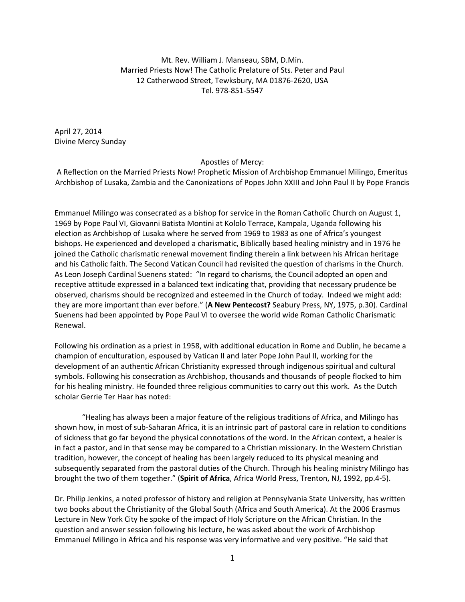Mt. Rev. William J. Manseau, SBM, D.Min. Married Priests Now! The Catholic Prelature of Sts. Peter and Paul 12 Catherwood Street, Tewksbury, MA 01876‐2620, USA Tel. 978‐851‐5547

April 27, 2014 Divine Mercy Sunday

## Apostles of Mercy:

A Reflection on the Married Priests Now! Prophetic Mission of Archbishop Emmanuel Milingo, Emeritus Archbishop of Lusaka, Zambia and the Canonizations of Popes John XXIII and John Paul II by Pope Francis

Emmanuel Milingo was consecrated as a bishop for service in the Roman Catholic Church on August 1, 1969 by Pope Paul VI, Giovanni Batista Montini at Kololo Terrace, Kampala, Uganda following his election as Archbishop of Lusaka where he served from 1969 to 1983 as one of Africa's youngest bishops. He experienced and developed a charismatic, Biblically based healing ministry and in 1976 he joined the Catholic charismatic renewal movement finding therein a link between his African heritage and his Catholic faith. The Second Vatican Council had revisited the question of charisms in the Church. As Leon Joseph Cardinal Suenens stated: "In regard to charisms, the Council adopted an open and receptive attitude expressed in a balanced text indicating that, providing that necessary prudence be observed, charisms should be recognized and esteemed in the Church of today. Indeed we might add: they are more important than ever before." (**A New Pentecost?** Seabury Press, NY, 1975, p.30). Cardinal Suenens had been appointed by Pope Paul VI to oversee the world wide Roman Catholic Charismatic Renewal.

Following his ordination as a priest in 1958, with additional education in Rome and Dublin, he became a champion of enculturation, espoused by Vatican II and later Pope John Paul II, working for the development of an authentic African Christianity expressed through indigenous spiritual and cultural symbols. Following his consecration as Archbishop, thousands and thousands of people flocked to him for his healing ministry. He founded three religious communities to carry out this work. As the Dutch scholar Gerrie Ter Haar has noted:

"Healing has always been a major feature of the religious traditions of Africa, and Milingo has shown how, in most of sub‐Saharan Africa, it is an intrinsic part of pastoral care in relation to conditions of sickness that go far beyond the physical connotations of the word. In the African context, a healer is in fact a pastor, and in that sense may be compared to a Christian missionary. In the Western Christian tradition, however, the concept of healing has been largely reduced to its physical meaning and subsequently separated from the pastoral duties of the Church. Through his healing ministry Milingo has brought the two of them together." (**Spirit of Africa**, Africa World Press, Trenton, NJ, 1992, pp.4‐5).

Dr. Philip Jenkins, a noted professor of history and religion at Pennsylvania State University, has written two books about the Christianity of the Global South (Africa and South America). At the 2006 Erasmus Lecture in New York City he spoke of the impact of Holy Scripture on the African Christian. In the question and answer session following his lecture, he was asked about the work of Archbishop Emmanuel Milingo in Africa and his response was very informative and very positive. "He said that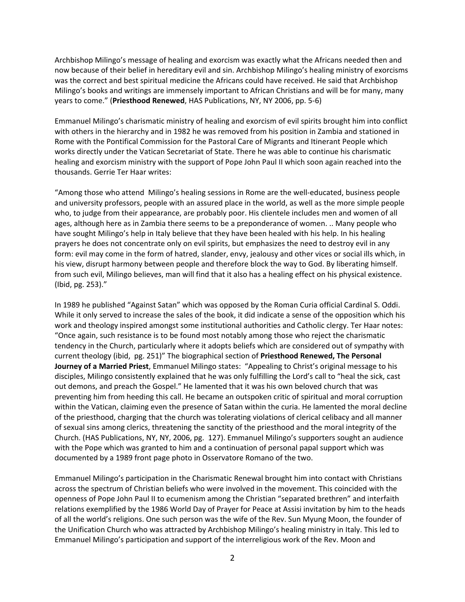Archbishop Milingo's message of healing and exorcism was exactly what the Africans needed then and now because of their belief in hereditary evil and sin. Archbishop Milingo's healing ministry of exorcisms was the correct and best spiritual medicine the Africans could have received. He said that Archbishop Milingo's books and writings are immensely important to African Christians and will be for many, many years to come." (**Priesthood Renewed**, HAS Publications, NY, NY 2006, pp. 5‐6)

Emmanuel Milingo's charismatic ministry of healing and exorcism of evil spirits brought him into conflict with others in the hierarchy and in 1982 he was removed from his position in Zambia and stationed in Rome with the Pontifical Commission for the Pastoral Care of Migrants and Itinerant People which works directly under the Vatican Secretariat of State. There he was able to continue his charismatic healing and exorcism ministry with the support of Pope John Paul II which soon again reached into the thousands. Gerrie Ter Haar writes:

"Among those who attend Milingo's healing sessions in Rome are the well‐educated, business people and university professors, people with an assured place in the world, as well as the more simple people who, to judge from their appearance, are probably poor. His clientele includes men and women of all ages, although here as in Zambia there seems to be a preponderance of women. .. Many people who have sought Milingo's help in Italy believe that they have been healed with his help. In his healing prayers he does not concentrate only on evil spirits, but emphasizes the need to destroy evil in any form: evil may come in the form of hatred, slander, envy, jealousy and other vices or social ills which, in his view, disrupt harmony between people and therefore block the way to God. By liberating himself. from such evil, Milingo believes, man will find that it also has a healing effect on his physical existence. (Ibid, pg. 253)."

In 1989 he published "Against Satan" which was opposed by the Roman Curia official Cardinal S. Oddi. While it only served to increase the sales of the book, it did indicate a sense of the opposition which his work and theology inspired amongst some institutional authorities and Catholic clergy. Ter Haar notes: "Once again, such resistance is to be found most notably among those who reject the charismatic tendency in the Church, particularly where it adopts beliefs which are considered out of sympathy with current theology (ibid, pg. 251)" The biographical section of **Priesthood Renewed, The Personal Journey of a Married Priest**, Emmanuel Milingo states: "Appealing to Christ's original message to his disciples, Milingo consistently explained that he was only fulfilling the Lord's call to "heal the sick, cast out demons, and preach the Gospel." He lamented that it was his own beloved church that was preventing him from heeding this call. He became an outspoken critic of spiritual and moral corruption within the Vatican, claiming even the presence of Satan within the curia. He lamented the moral decline of the priesthood, charging that the church was tolerating violations of clerical celibacy and all manner of sexual sins among clerics, threatening the sanctity of the priesthood and the moral integrity of the Church. (HAS Publications, NY, NY, 2006, pg. 127). Emmanuel Milingo's supporters sought an audience with the Pope which was granted to him and a continuation of personal papal support which was documented by a 1989 front page photo in Osservatore Romano of the two.

Emmanuel Milingo's participation in the Charismatic Renewal brought him into contact with Christians across the spectrum of Christian beliefs who were involved in the movement. This coincided with the openness of Pope John Paul II to ecumenism among the Christian "separated brethren" and interfaith relations exemplified by the 1986 World Day of Prayer for Peace at Assisi invitation by him to the heads of all the world's religions. One such person was the wife of the Rev. Sun Myung Moon, the founder of the Unification Church who was attracted by Archbishop Milingo's healing ministry in Italy. This led to Emmanuel Milingo's participation and support of the interreligious work of the Rev. Moon and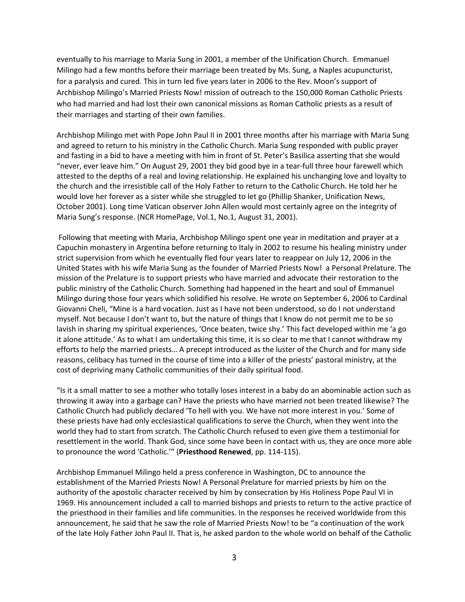eventually to his marriage to Maria Sung in 2001, a member of the Unification Church. Emmanuel Milingo had a few months before their marriage been treated by Ms. Sung, a Naples acupuncturist, for a paralysis and cured. This in turn led five years later in 2006 to the Rev. Moon's support of Archbishop Milingo's Married Priests Now! mission of outreach to the 150,000 Roman Catholic Priests who had married and had lost their own canonical missions as Roman Catholic priests as a result of their marriages and starting of their own families.

Archbishop Milingo met with Pope John Paul II in 2001 three months after his marriage with Maria Sung and agreed to return to his ministry in the Catholic Church. Maria Sung responded with public prayer and fasting in a bid to have a meeting with him in front of St. Peter's Basilica asserting that she would "never, ever leave him." On August 29, 2001 they bid good bye in a tear‐full three hour farewell which attested to the depths of a real and loving relationship. He explained his unchanging love and loyalty to the church and the irresistible call of the Holy Father to return to the Catholic Church. He told her he would love her forever as a sister while she struggled to let go (Phillip Shanker, Unification News, October 2001). Long time Vatican observer John Allen would most certainly agree on the integrity of Maria Sung's response. (NCR HomePage, Vol.1, No.1, August 31, 2001).

Following that meeting with Maria, Archbishop Milingo spent one year in meditation and prayer at a Capuchin monastery in Argentina before returning to Italy in 2002 to resume his healing ministry under strict supervision from which he eventually fled four years later to reappear on July 12, 2006 in the United States with his wife Maria Sung as the founder of Married Priests Now! a Personal Prelature. The mission of the Prelature is to support priests who have married and advocate their restoration to the public ministry of the Catholic Church. Something had happened in the heart and soul of Emmanuel Milingo during those four years which solidified his resolve. He wrote on September 6, 2006 to Cardinal Giovanni Cheli, "Mine is a hard vocation. Just as I have not been understood, so do I not understand myself. Not because I don't want to, but the nature of things that I know do not permit me to be so lavish in sharing my spiritual experiences, 'Once beaten, twice shy.' This fact developed within me 'a go it alone attitude.' As to what I am undertaking this time, it is so clear to me that I cannot withdraw my efforts to help the married priests… A precept introduced as the luster of the Church and for many side reasons, celibacy has turned in the course of time into a killer of the priests' pastoral ministry, at the cost of depriving many Catholic communities of their daily spiritual food.

"Is it a small matter to see a mother who totally loses interest in a baby do an abominable action such as throwing it away into a garbage can? Have the priests who have married not been treated likewise? The Catholic Church had publicly declared 'To hell with you. We have not more interest in you.' Some of these priests have had only ecclesiastical qualifications to serve the Church, when they went into the world they had to start from scratch. The Catholic Church refused to even give them a testimonial for resettlement in the world. Thank God, since some have been in contact with us, they are once more able to pronounce the word 'Catholic.'" (**Priesthood Renewed**, pp. 114‐115).

Archbishop Emmanuel Milingo held a press conference in Washington, DC to announce the establishment of the Married Priests Now! A Personal Prelature for married priests by him on the authority of the apostolic character received by him by consecration by His Holiness Pope Paul VI in 1969. His announcement included a call to married bishops and priests to return to the active practice of the priesthood in their families and life communities. In the responses he received worldwide from this announcement, he said that he saw the role of Married Priests Now! to be "a continuation of the work of the late Holy Father John Paul II. That is, he asked pardon to the whole world on behalf of the Catholic